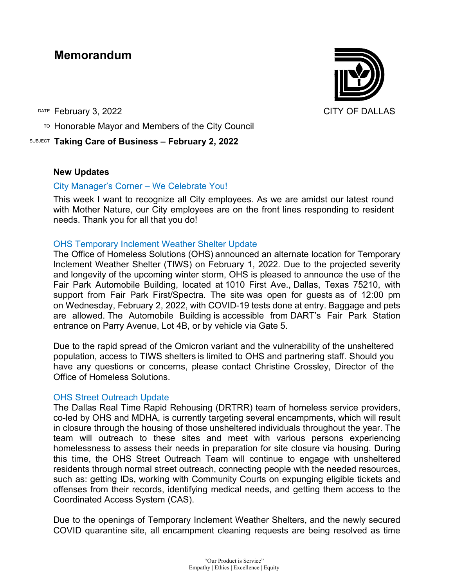# **Memorandum**

DATE February 3, 2022 **CITY OF DALLAS** 

TO Honorable Mayor and Members of the City Council

SUBJECT **Taking Care of Business – February 2, 2022**

## **New Updates**

# City Manager's Corner – We Celebrate You!

This week I want to recognize all City employees. As we are amidst our latest round with Mother Nature, our City employees are on the front lines responding to resident needs. Thank you for all that you do!

# OHS Temporary Inclement Weather Shelter Update

The Office of Homeless Solutions (OHS) announced an alternate location for Temporary Inclement Weather Shelter (TIWS) on February 1, 2022. Due to the projected severity and longevity of the upcoming winter storm, OHS is pleased to announce the use of the Fair Park Automobile Building, located at 1010 First Ave., Dallas, Texas 75210, with support from Fair Park First/Spectra. The site was open for guests as of 12:00 pm on Wednesday, February 2, 2022, with COVID-19 tests done at entry. Baggage and pets are allowed. The Automobile Building is accessible from DART's Fair Park Station entrance on Parry Avenue, Lot 4B, or by vehicle via Gate 5.

Due to the rapid spread of the Omicron variant and the vulnerability of the unsheltered population, access to TIWS shelters is limited to OHS and partnering staff. Should you have any questions or concerns, please contact Christine Crossley, Director of the Office of Homeless Solutions.

## OHS Street Outreach Update

The Dallas Real Time Rapid Rehousing (DRTRR) team of homeless service providers, co-led by OHS and MDHA, is currently targeting several encampments, which will result in closure through the housing of those unsheltered individuals throughout the year. The team will outreach to these sites and meet with various persons experiencing homelessness to assess their needs in preparation for site closure via housing. During this time, the OHS Street Outreach Team will continue to engage with unsheltered residents through normal street outreach, connecting people with the needed resources, such as: getting IDs, working with Community Courts on expunging eligible tickets and offenses from their records, identifying medical needs, and getting them access to the Coordinated Access System (CAS).

Due to the openings of Temporary Inclement Weather Shelters, and the newly secured COVID quarantine site, all encampment cleaning requests are being resolved as time

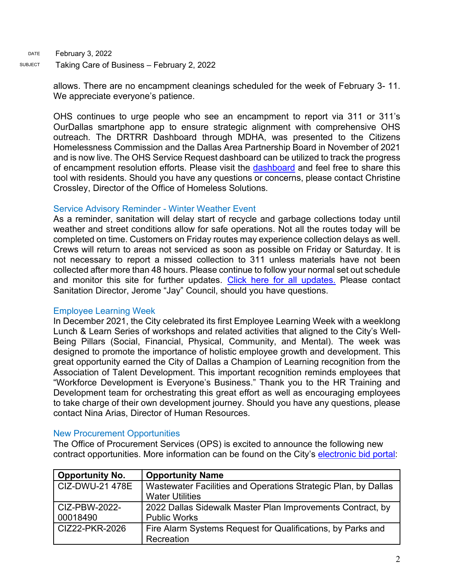DATE February 3, 2022 SUBJECT Taking Care of Business - February 2, 2022

> allows. There are no encampment cleanings scheduled for the week of February 3- 11. We appreciate everyone's patience.

> OHS continues to urge people who see an encampment to report via 311 or 311's OurDallas smartphone app to ensure strategic alignment with comprehensive OHS outreach. The DRTRR Dashboard through MDHA, was presented to the Citizens Homelessness Commission and the Dallas Area Partnership Board in November of 2021 and is now live. The OHS Service Request dashboard can be utilized to track the progress of encampment resolution efforts. Please visit the [dashboard](https://gcc02.safelinks.protection.outlook.com/?url=https%3A%2F%2Fdallasgis.maps.arcgis.com%2Fapps%2Fopsdashboard%2Findex.html%23%2Fccd41f0d795f407a94ae17e2c27bf073&data=04%7C01%7CAmanda.Voigt%40dallascityhall.com%7C233f59f2284d4e1e889c08d9a94b7cdf%7C2935709ec10c4809a302852d369f8700%7C0%7C0%7C637726963939462025%7CUnknown%7CTWFpbGZsb3d8eyJWIjoiMC4wLjAwMDAiLCJQIjoiV2luMzIiLCJBTiI6Ik1haWwiLCJXVCI6Mn0%3D%7C3000&sdata=3mXj5FFXAaQ5gm0LtJvJ%2BhMNRJuWkhHc94WnkCk6QDc%3D&reserved=0) and feel free to share this tool with residents. Should you have any questions or concerns, please contact Christine Crossley, Director of the Office of Homeless Solutions.

## Service Advisory Reminder - Winter Weather Event

As a reminder, sanitation will delay start of recycle and garbage collections today until weather and street conditions allow for safe operations. Not all the routes today will be completed on time. Customers on Friday routes may experience collection delays as well. Crews will return to areas not serviced as soon as possible on Friday or Saturday. It is not necessary to report a missed collection to 311 unless materials have not been collected after more than 48 hours. Please continue to follow your normal set out schedule and monitor this site for further updates. [Click here for all updates.](https://gcc02.safelinks.protection.outlook.com/?url=https%3A%2F%2Fdallascityhall.com%2Fdepartments%2Fsanitation%2FPages%2FFeb-2022-Winter-Weather-Event.aspx&data=04%7C01%7Ccarrie.rogers%40dallascityhall.com%7C50ede57993dc4ad2f27e08d9e71c5c75%7C2935709ec10c4809a302852d369f8700%7C0%7C0%7C637794931265505106%7CUnknown%7CTWFpbGZsb3d8eyJWIjoiMC4wLjAwMDAiLCJQIjoiV2luMzIiLCJBTiI6Ik1haWwiLCJXVCI6Mn0%3D%7C3000&sdata=na1b26JNBOZhgG%2BPfviVUfY2wtSAzSIza4XmX8N2Wls%3D&reserved=0) Please contact Sanitation Director, Jerome "Jay" Council, should you have questions.

## Employee Learning Week

In December 2021, the City celebrated its first Employee Learning Week with a weeklong Lunch & Learn Series of workshops and related activities that aligned to the City's Well-Being Pillars (Social, Financial, Physical, Community, and Mental). The week was designed to promote the importance of holistic employee growth and development. This great opportunity earned the City of Dallas a Champion of Learning recognition from the Association of Talent Development. This important recognition reminds employees that "Workforce Development is Everyone's Business." Thank you to the HR Training and Development team for orchestrating this great effort as well as encouraging employees to take charge of their own development journey. Should you have any questions, please contact Nina Arias, Director of Human Resources.

## New Procurement Opportunities

The Office of Procurement Services (OPS) is excited to announce the following new contract opportunities. More information can be found on the City's [electronic bid portal:](https://gcc02.safelinks.protection.outlook.com/?url=https%3A%2F%2Fdallascityhall.bonfirehub.com%2Fportal%2F%3Ftab%3DopenOpportunities&data=04%7C01%7Ctatjana.williams%40dallascityhall.com%7C582bfe579fcf43e680d508d9e4cebc88%7C2935709ec10c4809a302852d369f8700%7C0%7C0%7C637792398844121343%7CUnknown%7CTWFpbGZsb3d8eyJWIjoiMC4wLjAwMDAiLCJQIjoiV2luMzIiLCJBTiI6Ik1haWwiLCJXVCI6Mn0%3D%7C3000&sdata=eKMeDVqpfoxqbVue9919U1Amcy1ntM2h%2F7IoLdXAL%2Fk%3D&reserved=0)

| <b>Opportunity No.</b>    | <b>Opportunity Name</b>                                                                  |
|---------------------------|------------------------------------------------------------------------------------------|
| CIZ-DWU-21 478E           | Wastewater Facilities and Operations Strategic Plan, by Dallas<br><b>Water Utilities</b> |
| CIZ-PBW-2022-<br>00018490 | 2022 Dallas Sidewalk Master Plan Improvements Contract, by<br><b>Public Works</b>        |
| CIZ22-PKR-2026            | Fire Alarm Systems Request for Qualifications, by Parks and<br>Recreation                |